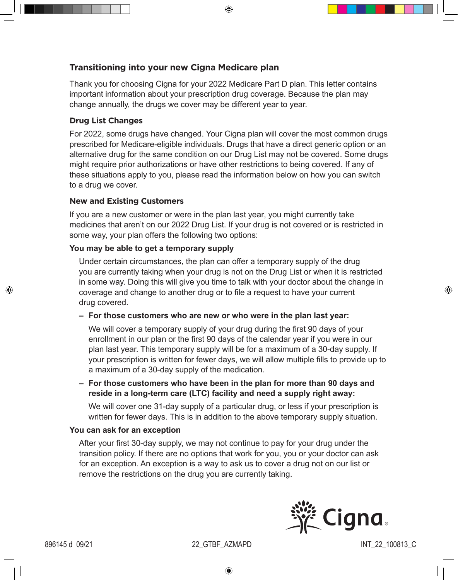⊕

# **Transitioning into your new Cigna Medicare plan**

Thank you for choosing Cigna for your 2022 Medicare Part D plan. This letter contains important information about your prescription drug coverage. Because the plan may change annually, the drugs we cover may be different year to year.

### **Drug List Changes**

For 2022, some drugs have changed. Your Cigna plan will cover the most common drugs prescribed for Medicare-eligible individuals. Drugs that have a direct generic option or an alternative drug for the same condition on our Drug List may not be covered. Some drugs might require prior authorizations or have other restrictions to being covered. If any of these situations apply to you, please read the information below on how you can switch to a drug we cover.

### **New and Existing Customers**

If you are a new customer or were in the plan last year, you might currently take medicines that aren't on our 2022 Drug List. If your drug is not covered or is restricted in some way, your plan offers the following two options:

## **You may be able to get a temporary supply**

Under certain circumstances, the plan can offer a temporary supply of the drug you are currently taking when your drug is not on the Drug List or when it is restricted in some way. Doing this will give you time to talk with your doctor about the change in coverage and change to another drug or to file a request to have your current drug covered.

**– For those customers who are new or who were in the plan last year:** 

We will cover a temporary supply of your drug during the first 90 days of your enrollment in our plan or the first 90 days of the calendar year if you were in our plan last year. This temporary supply will be for a maximum of a 30-day supply. If your prescription is written for fewer days, we will allow multiple fills to provide up to a maximum of a 30-day supply of the medication.

**– For those customers who have been in the plan for more than 90 days and reside in a long-term care (LTC) facility and need a supply right away:** 

We will cover one 31-day supply of a particular drug, or less if your prescription is written for fewer days. This is in addition to the above temporary supply situation.

### **You can ask for an exception**

After your first 30-day supply, we may not continue to pay for your drug under the transition policy. If there are no options that work for you, you or your doctor can ask for an exception. An exception is a way to ask us to cover a drug not on our list or remove the restrictions on the drug you are currently taking.



♠

⊕

896145 d 09/21 22\_GTBF\_AZMAPD INT\_22\_100813\_C

⊕